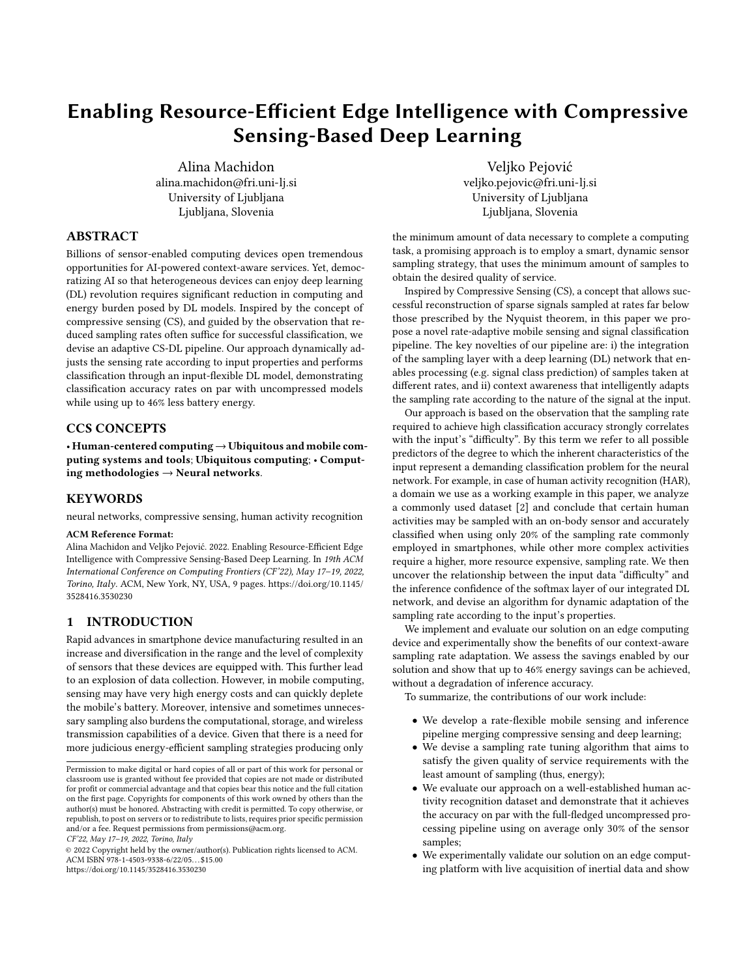# Enabling Resource-Efficient Edge Intelligence with Compressive Sensing-Based Deep Learning

Alina Machidon alina.machidon@fri.uni-lj.si University of Ljubljana Ljubljana, Slovenia

Veljko Pejović veljko.pejovic@fri.uni-lj.si University of Ljubljana Ljubljana, Slovenia

## ABSTRACT

Billions of sensor-enabled computing devices open tremendous opportunities for AI-powered context-aware services. Yet, democratizing AI so that heterogeneous devices can enjoy deep learning (DL) revolution requires significant reduction in computing and energy burden posed by DL models. Inspired by the concept of compressive sensing (CS), and guided by the observation that reduced sampling rates often suffice for successful classification, we devise an adaptive CS-DL pipeline. Our approach dynamically adjusts the sensing rate according to input properties and performs classification through an input-flexible DL model, demonstrating classification accuracy rates on par with uncompressed models while using up to 46% less battery energy.

## CCS CONCEPTS

• Human-centered computing→Ubiquitous and mobile computing systems and tools; Ubiquitous computing; • Computing methodologies  $\rightarrow$  Neural networks.

#### **KEYWORDS**

neural networks, compressive sensing, human activity recognition

#### ACM Reference Format:

Alina Machidon and Veljko Pejović. 2022. Enabling Resource-Efficient Edge Intelligence with Compressive Sensing-Based Deep Learning. In 19th ACM International Conference on Computing Frontiers (CF'22), May 17–19, 2022, Torino, Italy. ACM, New York, NY, USA, [9](#page-8-0) pages. [https://doi.org/10.1145/](https://doi.org/10.1145/3528416.3530230) [3528416.3530230](https://doi.org/10.1145/3528416.3530230)

#### 1 INTRODUCTION

Rapid advances in smartphone device manufacturing resulted in an increase and diversification in the range and the level of complexity of sensors that these devices are equipped with. This further lead to an explosion of data collection. However, in mobile computing, sensing may have very high energy costs and can quickly deplete the mobile's battery. Moreover, intensive and sometimes unnecessary sampling also burdens the computational, storage, and wireless transmission capabilities of a device. Given that there is a need for more judicious energy-efficient sampling strategies producing only

CF'22, May 17–19, 2022, Torino, Italy

© 2022 Copyright held by the owner/author(s). Publication rights licensed to ACM. ACM ISBN 978-1-4503-9338-6/22/05. . . \$15.00 <https://doi.org/10.1145/3528416.3530230>

the minimum amount of data necessary to complete a computing task, a promising approach is to employ a smart, dynamic sensor sampling strategy, that uses the minimum amount of samples to obtain the desired quality of service.

Inspired by Compressive Sensing (CS), a concept that allows successful reconstruction of sparse signals sampled at rates far below those prescribed by the Nyquist theorem, in this paper we propose a novel rate-adaptive mobile sensing and signal classification pipeline. The key novelties of our pipeline are: i) the integration of the sampling layer with a deep learning (DL) network that enables processing (e.g. signal class prediction) of samples taken at different rates, and ii) context awareness that intelligently adapts the sampling rate according to the nature of the signal at the input.

Our approach is based on the observation that the sampling rate required to achieve high classification accuracy strongly correlates with the input's "difficulty". By this term we refer to all possible predictors of the degree to which the inherent characteristics of the input represent a demanding classification problem for the neural network. For example, in case of human activity recognition (HAR), a domain we use as a working example in this paper, we analyze a commonly used dataset [\[2\]](#page-8-1) and conclude that certain human activities may be sampled with an on-body sensor and accurately classified when using only 20% of the sampling rate commonly employed in smartphones, while other more complex activities require a higher, more resource expensive, sampling rate. We then uncover the relationship between the input data "difficulty" and the inference confidence of the softmax layer of our integrated DL network, and devise an algorithm for dynamic adaptation of the sampling rate according to the input's properties.

We implement and evaluate our solution on an edge computing device and experimentally show the benefits of our context-aware sampling rate adaptation. We assess the savings enabled by our solution and show that up to 46% energy savings can be achieved, without a degradation of inference accuracy.

To summarize, the contributions of our work include:

- We develop a rate-flexible mobile sensing and inference pipeline merging compressive sensing and deep learning;
- We devise a sampling rate tuning algorithm that aims to satisfy the given quality of service requirements with the least amount of sampling (thus, energy);
- We evaluate our approach on a well-established human activity recognition dataset and demonstrate that it achieves the accuracy on par with the full-fledged uncompressed processing pipeline using on average only 30% of the sensor samples;
- We experimentally validate our solution on an edge computing platform with live acquisition of inertial data and show

Permission to make digital or hard copies of all or part of this work for personal or classroom use is granted without fee provided that copies are not made or distributed for profit or commercial advantage and that copies bear this notice and the full citation on the first page. Copyrights for components of this work owned by others than the author(s) must be honored. Abstracting with credit is permitted. To copy otherwise, or republish, to post on servers or to redistribute to lists, requires prior specific permission and/or a fee. Request permissions from permissions@acm.org.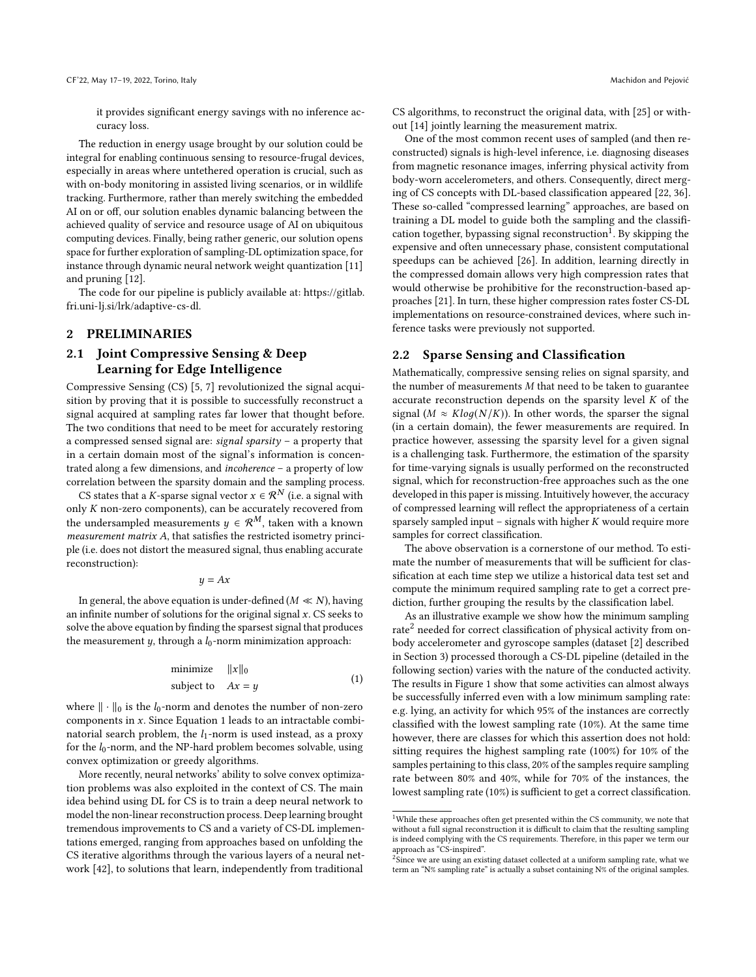it provides significant energy savings with no inference accuracy loss.

The reduction in energy usage brought by our solution could be integral for enabling continuous sensing to resource-frugal devices, especially in areas where untethered operation is crucial, such as with on-body monitoring in assisted living scenarios, or in wildlife tracking. Furthermore, rather than merely switching the embedded AI on or off, our solution enables dynamic balancing between the achieved quality of service and resource usage of AI on ubiquitous computing devices. Finally, being rather generic, our solution opens space for further exploration of sampling-DL optimization space, for instance through dynamic neural network weight quantization [\[11\]](#page-8-2) and pruning [\[12\]](#page-8-3).

The code for our pipeline is publicly available at: [https://gitlab.](https://gitlab.fri.uni-lj.si/lrk/adaptive-cs-dl) [fri.uni-lj.si/lrk/adaptive-cs-dl.](https://gitlab.fri.uni-lj.si/lrk/adaptive-cs-dl)

#### 2 PRELIMINARIES

## 2.1 Joint Compressive Sensing & Deep Learning for Edge Intelligence

Compressive Sensing (CS) [\[5,](#page-8-4) [7\]](#page-8-5) revolutionized the signal acquisition by proving that it is possible to successfully reconstruct a signal acquired at sampling rates far lower that thought before. The two conditions that need to be meet for accurately restoring a compressed sensed signal are: signal sparsity – a property that in a certain domain most of the signal's information is concentrated along a few dimensions, and incoherence – a property of low correlation between the sparsity domain and the sampling process.

CS states that a K-sparse signal vector  $x \in \mathcal{R}^N$  (i.e. a signal with only  $K$  non-zero components), can be accurately recovered from the undersampled measurements  $y \in \mathcal{R}^M$ , taken with a known  $measurement$  matrix  $A$ , that satisfies the restricted isometry principle (i.e. does not distort the measured signal, thus enabling accurate reconstruction):

$$
y = Ax
$$

In general, the above equation is under-defined ( $M \ll N$ ), having an infinite number of solutions for the original signal  $x$ . CS seeks to solve the above equation by finding the sparsest signal that produces the measurement  $y$ , through a  $l_0$ -norm minimization approach:

<span id="page-1-0"></span>
$$
\begin{array}{ll}\text{minimize} & \|x\|_0\\ \text{subject to} & Ax = y \end{array} \tag{1}
$$

where  $\|\cdot\|_0$  is the  $l_0$ -norm and denotes the number of non-zero components in  $x$ . Since Equation [1](#page-1-0) leads to an intractable combinatorial search problem, the  $l_1$ -norm is used instead, as a proxy for the  $l_0$ -norm, and the NP-hard problem becomes solvable, using convex optimization or greedy algorithms.

More recently, neural networks' ability to solve convex optimization problems was also exploited in the context of CS. The main idea behind using DL for CS is to train a deep neural network to model the non-linear reconstruction process. Deep learning brought tremendous improvements to CS and a variety of CS-DL implementations emerged, ranging from approaches based on unfolding the CS iterative algorithms through the various layers of a neural network [\[42\]](#page-8-6), to solutions that learn, independently from traditional

CS algorithms, to reconstruct the original data, with [\[25\]](#page-8-7) or without [\[14\]](#page-8-8) jointly learning the measurement matrix.

One of the most common recent uses of sampled (and then reconstructed) signals is high-level inference, i.e. diagnosing diseases from magnetic resonance images, inferring physical activity from body-worn accelerometers, and others. Consequently, direct merging of CS concepts with DL-based classification appeared [\[22,](#page-8-9) [36\]](#page-8-10). These so-called "compressed learning" approaches, are based on training a DL model to guide both the sampling and the classifi-cation together, bypassing signal reconstruction<sup>[1](#page-1-1)</sup>. By skipping the expensive and often unnecessary phase, consistent computational speedups can be achieved [\[26\]](#page-8-11). In addition, learning directly in the compressed domain allows very high compression rates that would otherwise be prohibitive for the reconstruction-based approaches [\[21\]](#page-8-12). In turn, these higher compression rates foster CS-DL implementations on resource-constrained devices, where such inference tasks were previously not supported.

#### <span id="page-1-3"></span>2.2 Sparse Sensing and Classification

Mathematically, compressive sensing relies on signal sparsity, and the number of measurements  $M$  that need to be taken to guarantee accurate reconstruction depends on the sparsity level  $K$  of the signal ( $M \approx Klog(N/K)$ ). In other words, the sparser the signal (in a certain domain), the fewer measurements are required. In practice however, assessing the sparsity level for a given signal is a challenging task. Furthermore, the estimation of the sparsity for time-varying signals is usually performed on the reconstructed signal, which for reconstruction-free approaches such as the one developed in this paper is missing. Intuitively however, the accuracy of compressed learning will reflect the appropriateness of a certain sparsely sampled input – signals with higher  $K$  would require more samples for correct classification.

The above observation is a cornerstone of our method. To estimate the number of measurements that will be sufficient for classification at each time step we utilize a historical data test set and compute the minimum required sampling rate to get a correct prediction, further grouping the results by the classification label.

As an illustrative example we show how the minimum sampling rate<sup>[2](#page-1-2)</sup> needed for correct classification of physical activity from onbody accelerometer and gyroscope samples (dataset [\[2\]](#page-8-1) described in Section [3\)](#page-2-0) processed thorough a CS-DL pipeline (detailed in the following section) varies with the nature of the conducted activity. The results in Figure [1](#page-2-1) show that some activities can almost always be successfully inferred even with a low minimum sampling rate: e.g. lying, an activity for which 95% of the instances are correctly classified with the lowest sampling rate (10%). At the same time however, there are classes for which this assertion does not hold: sitting requires the highest sampling rate (100%) for 10% of the samples pertaining to this class, 20% of the samples require sampling rate between 80% and 40%, while for 70% of the instances, the lowest sampling rate (10%) is sufficient to get a correct classification.

<span id="page-1-1"></span> $^{\rm 1}$  While these approaches often get presented within the CS community, we note that without a full signal reconstruction it is difficult to claim that the resulting sampling is indeed complying with the CS requirements. Therefore, in this paper we term our approach as "CS-inspired".

<span id="page-1-2"></span><sup>&</sup>lt;sup>2</sup>Since we are using an existing dataset collected at a uniform sampling rate, what we term an "N% sampling rate" is actually a subset containing N% of the original samples.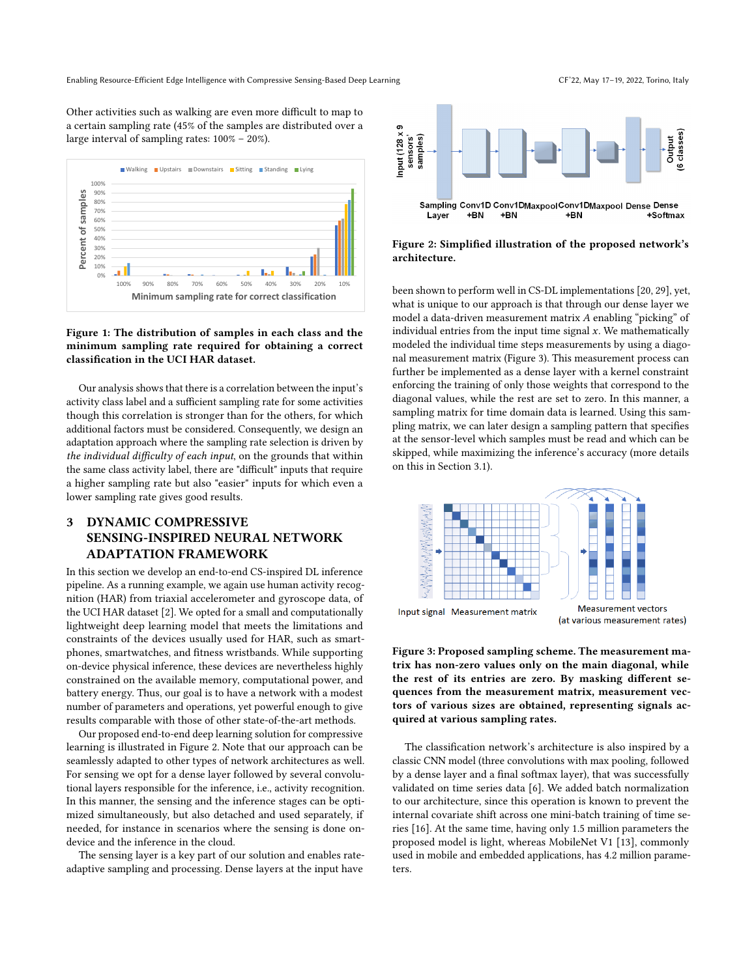Enabling Resource-Efficient Edge Intelligence with Compressive Sensing-Based Deep Learning CF'22, May 17-19, 2022, Torino, Italy

Other activities such as walking are even more difficult to map to a certain sampling rate (45% of the samples are distributed over a large interval of sampling rates: 100% – 20%).

<span id="page-2-1"></span>

## Figure 1: The distribution of samples in each class and the minimum sampling rate required for obtaining a correct classification in the UCI HAR dataset.

Our analysis shows that there is a correlation between the input's activity class label and a sufficient sampling rate for some activities though this correlation is stronger than for the others, for which additional factors must be considered. Consequently, we design an adaptation approach where the sampling rate selection is driven by the individual difficulty of each input, on the grounds that within the same class activity label, there are "difficult" inputs that require a higher sampling rate but also "easier" inputs for which even a lower sampling rate gives good results.

## <span id="page-2-0"></span>3 DYNAMIC COMPRESSIVE SENSING-INSPIRED NEURAL NETWORK ADAPTATION FRAMEWORK

In this section we develop an end-to-end CS-inspired DL inference pipeline. As a running example, we again use human activity recognition (HAR) from triaxial accelerometer and gyroscope data, of the UCI HAR dataset [\[2\]](#page-8-1). We opted for a small and computationally lightweight deep learning model that meets the limitations and constraints of the devices usually used for HAR, such as smartphones, smartwatches, and fitness wristbands. While supporting on-device physical inference, these devices are nevertheless highly constrained on the available memory, computational power, and battery energy. Thus, our goal is to have a network with a modest number of parameters and operations, yet powerful enough to give results comparable with those of other state-of-the-art methods.

Our proposed end-to-end deep learning solution for compressive learning is illustrated in Figure [2.](#page-2-2) Note that our approach can be seamlessly adapted to other types of network architectures as well. For sensing we opt for a dense layer followed by several convolutional layers responsible for the inference, i.e., activity recognition. In this manner, the sensing and the inference stages can be optimized simultaneously, but also detached and used separately, if needed, for instance in scenarios where the sensing is done ondevice and the inference in the cloud.

The sensing layer is a key part of our solution and enables rateadaptive sampling and processing. Dense layers at the input have

<span id="page-2-2"></span>

## Figure 2: Simplified illustration of the proposed network's architecture.

been shown to perform well in CS-DL implementations [\[20,](#page-8-13) [29\]](#page-8-14), yet, what is unique to our approach is that through our dense layer we model a data-driven measurement matrix  $A$  enabling "picking" of individual entries from the input time signal  $x$ . We mathematically modeled the individual time steps measurements by using a diagonal measurement matrix (Figure [3\)](#page-2-3). This measurement process can further be implemented as a dense layer with a kernel constraint enforcing the training of only those weights that correspond to the diagonal values, while the rest are set to zero. In this manner, a sampling matrix for time domain data is learned. Using this sampling matrix, we can later design a sampling pattern that specifies at the sensor-level which samples must be read and which can be skipped, while maximizing the inference's accuracy (more details on this in Section [3.1\)](#page-3-0).

<span id="page-2-3"></span>

Figure 3: Proposed sampling scheme. The measurement matrix has non-zero values only on the main diagonal, while the rest of its entries are zero. By masking different sequences from the measurement matrix, measurement vectors of various sizes are obtained, representing signals acquired at various sampling rates.

The classification network's architecture is also inspired by a classic CNN model (three convolutions with max pooling, followed by a dense layer and a final softmax layer), that was successfully validated on time series data [\[6\]](#page-8-15). We added batch normalization to our architecture, since this operation is known to prevent the internal covariate shift across one mini-batch training of time series [\[16\]](#page-8-16). At the same time, having only 1.5 million parameters the proposed model is light, whereas MobileNet V1 [\[13\]](#page-8-17), commonly used in mobile and embedded applications, has 4.2 million parameters.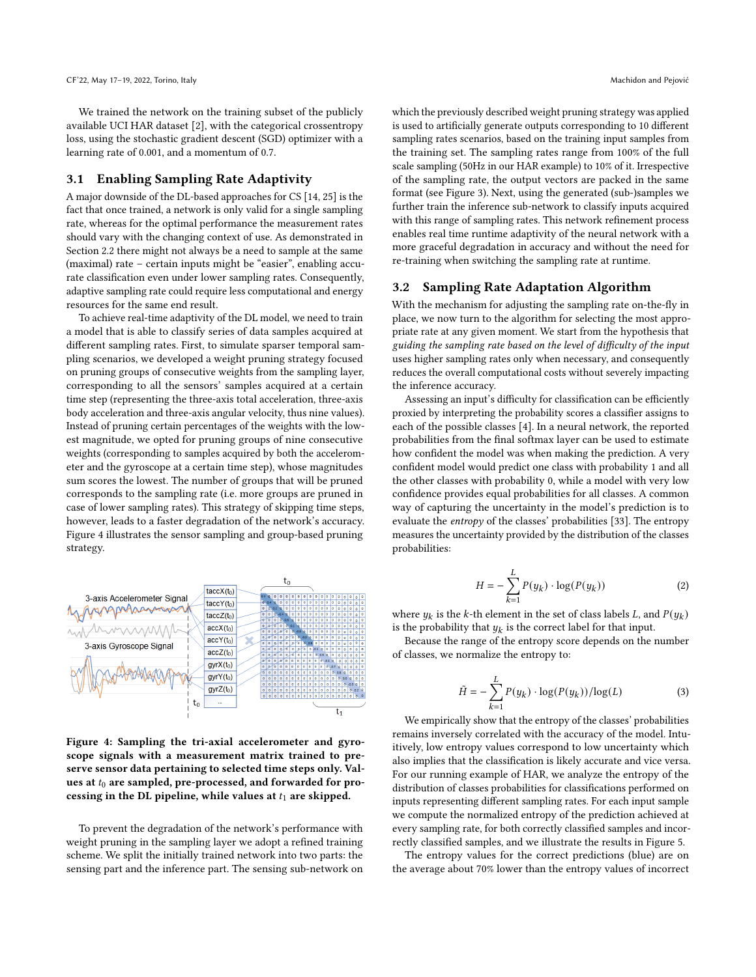We trained the network on the training subset of the publicly available UCI HAR dataset [\[2\]](#page-8-1), with the categorical crossentropy loss, using the stochastic gradient descent (SGD) optimizer with a learning rate of 0.001, and a momentum of 0.7.

#### <span id="page-3-0"></span>3.1 Enabling Sampling Rate Adaptivity

A major downside of the DL-based approaches for CS [\[14,](#page-8-8) [25\]](#page-8-7) is the fact that once trained, a network is only valid for a single sampling rate, whereas for the optimal performance the measurement rates should vary with the changing context of use. As demonstrated in Section [2.2](#page-1-3) there might not always be a need to sample at the same (maximal) rate – certain inputs might be "easier", enabling accurate classification even under lower sampling rates. Consequently, adaptive sampling rate could require less computational and energy resources for the same end result.

To achieve real-time adaptivity of the DL model, we need to train a model that is able to classify series of data samples acquired at different sampling rates. First, to simulate sparser temporal sampling scenarios, we developed a weight pruning strategy focused on pruning groups of consecutive weights from the sampling layer, corresponding to all the sensors' samples acquired at a certain time step (representing the three-axis total acceleration, three-axis body acceleration and three-axis angular velocity, thus nine values). Instead of pruning certain percentages of the weights with the lowest magnitude, we opted for pruning groups of nine consecutive weights (corresponding to samples acquired by both the accelerometer and the gyroscope at a certain time step), whose magnitudes sum scores the lowest. The number of groups that will be pruned corresponds to the sampling rate (i.e. more groups are pruned in case of lower sampling rates). This strategy of skipping time steps, however, leads to a faster degradation of the network's accuracy. Figure [4](#page-3-1) illustrates the sensor sampling and group-based pruning strategy.

<span id="page-3-1"></span>

Figure 4: Sampling the tri-axial accelerometer and gyroscope signals with a measurement matrix trained to preserve sensor data pertaining to selected time steps only. Values at  $t_0$  are sampled, pre-processed, and forwarded for processing in the DL pipeline, while values at  $t_1$  are skipped.

To prevent the degradation of the network's performance with weight pruning in the sampling layer we adopt a refined training scheme. We split the initially trained network into two parts: the sensing part and the inference part. The sensing sub-network on which the previously described weight pruning strategy was applied is used to artificially generate outputs corresponding to 10 different sampling rates scenarios, based on the training input samples from the training set. The sampling rates range from 100% of the full scale sampling (50Hz in our HAR example) to 10% of it. Irrespective of the sampling rate, the output vectors are packed in the same format (see Figure [3\)](#page-2-3). Next, using the generated (sub-)samples we further train the inference sub-network to classify inputs acquired with this range of sampling rates. This network refinement process enables real time runtime adaptivity of the neural network with a more graceful degradation in accuracy and without the need for re-training when switching the sampling rate at runtime.

#### <span id="page-3-2"></span>3.2 Sampling Rate Adaptation Algorithm

With the mechanism for adjusting the sampling rate on-the-fly in place, we now turn to the algorithm for selecting the most appropriate rate at any given moment. We start from the hypothesis that guiding the sampling rate based on the level of difficulty of the input uses higher sampling rates only when necessary, and consequently reduces the overall computational costs without severely impacting the inference accuracy.

Assessing an input's difficulty for classification can be efficiently proxied by interpreting the probability scores a classifier assigns to each of the possible classes [\[4\]](#page-8-18). In a neural network, the reported probabilities from the final softmax layer can be used to estimate how confident the model was when making the prediction. A very confident model would predict one class with probability 1 and all the other classes with probability 0, while a model with very low confidence provides equal probabilities for all classes. A common way of capturing the uncertainty in the model's prediction is to evaluate the entropy of the classes' probabilities [\[33\]](#page-8-19). The entropy measures the uncertainty provided by the distribution of the classes probabilities:

$$
H = -\sum_{k=1}^{L} P(y_k) \cdot \log(P(y_k))
$$
\n(2)

where  $y_k$  is the k-th element in the set of class labels L, and  $P(y_k)$ is the probability that  $y_k$  is the correct label for that input.

Because the range of the entropy score depends on the number of classes, we normalize the entropy to:

$$
\tilde{H} = -\sum_{k=1}^{L} P(y_k) \cdot \log(P(y_k)) / \log(L)
$$
\n(3)

We empirically show that the entropy of the classes' probabilities remains inversely correlated with the accuracy of the model. Intuitively, low entropy values correspond to low uncertainty which also implies that the classification is likely accurate and vice versa. For our running example of HAR, we analyze the entropy of the distribution of classes probabilities for classifications performed on inputs representing different sampling rates. For each input sample we compute the normalized entropy of the prediction achieved at every sampling rate, for both correctly classified samples and incorrectly classified samples, and we illustrate the results in Figure [5.](#page-4-0)

The entropy values for the correct predictions (blue) are on the average about 70% lower than the entropy values of incorrect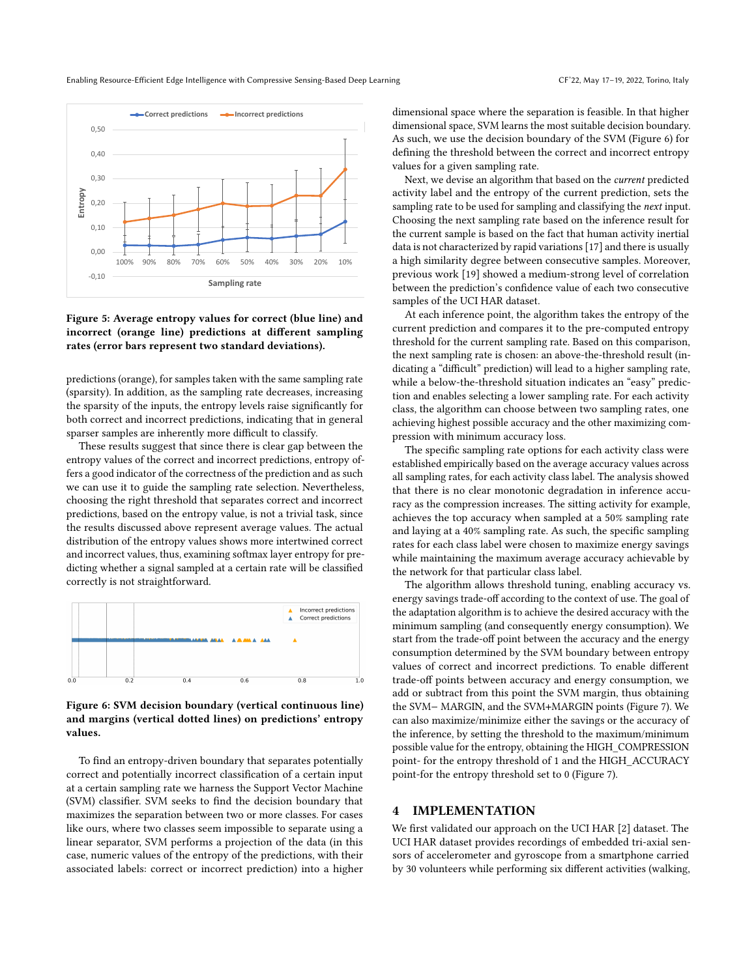

activity label and the entropy of the current prediction, sets the sampling rate to be used for sampling and classifying the next input. Choosing the next sampling rate based on the inference result for the current sample is based on the fact that human activity inertial data is not characterized by rapid variations [\[17\]](#page-8-20) and there is usually a high similarity degree between consecutive samples. Moreover, previous work [\[19\]](#page-8-21) showed a medium-strong level of correlation between the prediction's confidence value of each two consecutive samples of the UCI HAR dataset.

At each inference point, the algorithm takes the entropy of the current prediction and compares it to the pre-computed entropy threshold for the current sampling rate. Based on this comparison, the next sampling rate is chosen: an above-the-threshold result (indicating a "difficult" prediction) will lead to a higher sampling rate, while a below-the-threshold situation indicates an "easy" prediction and enables selecting a lower sampling rate. For each activity class, the algorithm can choose between two sampling rates, one achieving highest possible accuracy and the other maximizing compression with minimum accuracy loss.

The specific sampling rate options for each activity class were established empirically based on the average accuracy values across all sampling rates, for each activity class label. The analysis showed that there is no clear monotonic degradation in inference accuracy as the compression increases. The sitting activity for example, achieves the top accuracy when sampled at a 50% sampling rate and laying at a 40% sampling rate. As such, the specific sampling rates for each class label were chosen to maximize energy savings while maintaining the maximum average accuracy achievable by the network for that particular class label.

The algorithm allows threshold tuning, enabling accuracy vs. energy savings trade-off according to the context of use. The goal of the adaptation algorithm is to achieve the desired accuracy with the minimum sampling (and consequently energy consumption). We start from the trade-off point between the accuracy and the energy consumption determined by the SVM boundary between entropy values of correct and incorrect predictions. To enable different trade-off points between accuracy and energy consumption, we add or subtract from this point the SVM margin, thus obtaining the SVM− MARGIN, and the SVM+MARGIN points (Figure [7\)](#page-5-0). We can also maximize/minimize either the savings or the accuracy of the inference, by setting the threshold to the maximum/minimum possible value for the entropy, obtaining the HIGH\_COMPRESSION point- for the entropy threshold of 1 and the HIGH\_ACCURACY point-for the entropy threshold set to 0 (Figure [7\)](#page-5-0).

#### **IMPLEMENTATION**

We first validated our approach on the UCI HAR [\[2\]](#page-8-1) dataset. The UCI HAR dataset provides recordings of embedded tri-axial sensors of accelerometer and gyroscope from a smartphone carried by 30 volunteers while performing six different activities (walking,



100% 90% 80% 70% 60% 50% 40% 30% 20% 10%

**Sampling rate**

 $-0.10$ 0,00 0,10

0,20 0,30

**Entropy**

<span id="page-4-0"></span> $0.40$ 0,50

predictions (orange), for samples taken with the same sampling rate (sparsity). In addition, as the sampling rate decreases, increasing the sparsity of the inputs, the entropy levels raise significantly for both correct and incorrect predictions, indicating that in general sparser samples are inherently more difficult to classify.

These results suggest that since there is clear gap between the entropy values of the correct and incorrect predictions, entropy offers a good indicator of the correctness of the prediction and as such we can use it to guide the sampling rate selection. Nevertheless, choosing the right threshold that separates correct and incorrect predictions, based on the entropy value, is not a trivial task, since the results discussed above represent average values. The actual distribution of the entropy values shows more intertwined correct and incorrect values, thus, examining softmax layer entropy for predicting whether a signal sampled at a certain rate will be classified correctly is not straightforward.

<span id="page-4-1"></span>

Figure 6: SVM decision boundary (vertical continuous line) and margins (vertical dotted lines) on predictions' entropy values.

To find an entropy-driven boundary that separates potentially correct and potentially incorrect classification of a certain input at a certain sampling rate we harness the Support Vector Machine (SVM) classifier. SVM seeks to find the decision boundary that maximizes the separation between two or more classes. For cases like ours, where two classes seem impossible to separate using a linear separator, SVM performs a projection of the data (in this case, numeric values of the entropy of the predictions, with their associated labels: correct or incorrect prediction) into a higher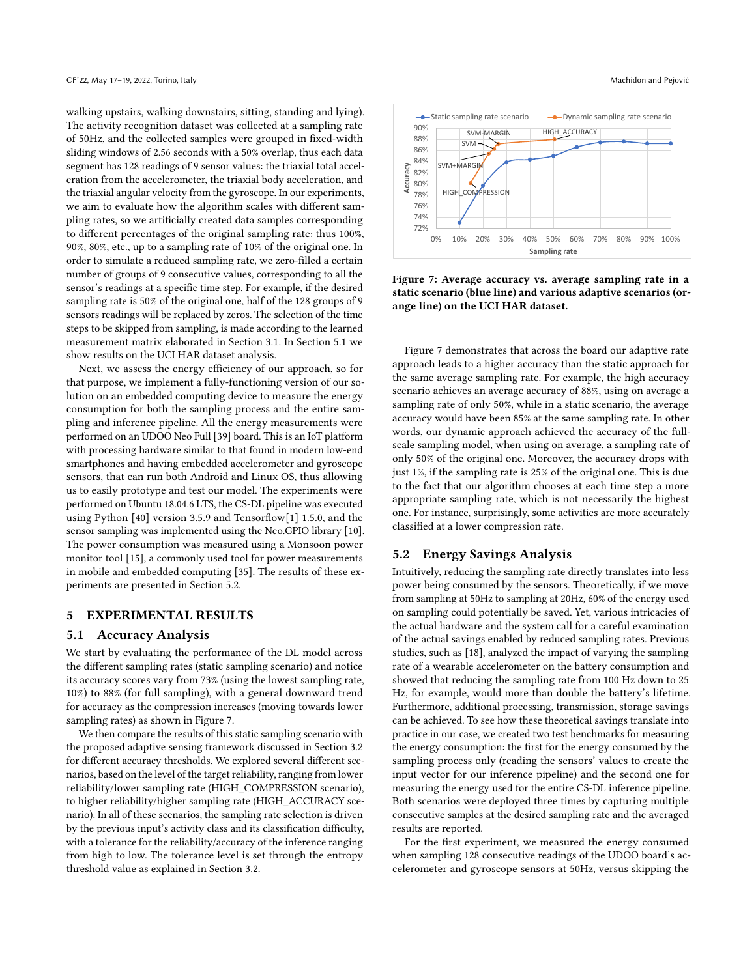walking upstairs, walking downstairs, sitting, standing and lying). The activity recognition dataset was collected at a sampling rate of 50Hz, and the collected samples were grouped in fixed-width sliding windows of 2.56 seconds with a 50% overlap, thus each data segment has 128 readings of 9 sensor values: the triaxial total acceleration from the accelerometer, the triaxial body acceleration, and the triaxial angular velocity from the gyroscope. In our experiments, we aim to evaluate how the algorithm scales with different sampling rates, so we artificially created data samples corresponding to different percentages of the original sampling rate: thus 100%, 90%, 80%, etc., up to a sampling rate of 10% of the original one. In order to simulate a reduced sampling rate, we zero-filled a certain number of groups of 9 consecutive values, corresponding to all the sensor's readings at a specific time step. For example, if the desired sampling rate is 50% of the original one, half of the 128 groups of 9 sensors readings will be replaced by zeros. The selection of the time steps to be skipped from sampling, is made according to the learned measurement matrix elaborated in Section [3.1.](#page-3-0) In Section [5.1](#page-5-1) we show results on the UCI HAR dataset analysis.

Next, we assess the energy efficiency of our approach, so for that purpose, we implement a fully-functioning version of our solution on an embedded computing device to measure the energy consumption for both the sampling process and the entire sampling and inference pipeline. All the energy measurements were performed on an UDOO Neo Full [\[39\]](#page-8-22) board. This is an IoT platform with processing hardware similar to that found in modern low-end smartphones and having embedded accelerometer and gyroscope sensors, that can run both Android and Linux OS, thus allowing us to easily prototype and test our model. The experiments were performed on Ubuntu 18.04.6 LTS, the CS-DL pipeline was executed using Python [\[40\]](#page-8-23) version 3.5.9 and Tensorflow[\[1\]](#page-8-24) 1.5.0, and the sensor sampling was implemented using the Neo.GPIO library [\[10\]](#page-8-25). The power consumption was measured using a Monsoon power monitor tool [\[15\]](#page-8-26), a commonly used tool for power measurements in mobile and embedded computing [\[35\]](#page-8-27). The results of these experiments are presented in Section [5.2.](#page-5-2)

#### 5 EXPERIMENTAL RESULTS

#### <span id="page-5-1"></span>5.1 Accuracy Analysis

We start by evaluating the performance of the DL model across the different sampling rates (static sampling scenario) and notice its accuracy scores vary from 73% (using the lowest sampling rate, 10%) to 88% (for full sampling), with a general downward trend for accuracy as the compression increases (moving towards lower sampling rates) as shown in Figure [7.](#page-5-0)

We then compare the results of this static sampling scenario with the proposed adaptive sensing framework discussed in Section [3.2](#page-3-2) for different accuracy thresholds. We explored several different scenarios, based on the level of the target reliability, ranging from lower reliability/lower sampling rate (HIGH\_COMPRESSION scenario), to higher reliability/higher sampling rate (HIGH\_ACCURACY scenario). In all of these scenarios, the sampling rate selection is driven by the previous input's activity class and its classification difficulty, with a tolerance for the reliability/accuracy of the inference ranging from high to low. The tolerance level is set through the entropy threshold value as explained in Section [3.2.](#page-3-2)

<span id="page-5-0"></span>

Figure 7: Average accuracy vs. average sampling rate in a static scenario (blue line) and various adaptive scenarios (orange line) on the UCI HAR dataset.

Figure [7](#page-5-0) demonstrates that across the board our adaptive rate approach leads to a higher accuracy than the static approach for the same average sampling rate. For example, the high accuracy scenario achieves an average accuracy of 88%, using on average a sampling rate of only 50%, while in a static scenario, the average accuracy would have been 85% at the same sampling rate. In other words, our dynamic approach achieved the accuracy of the fullscale sampling model, when using on average, a sampling rate of only 50% of the original one. Moreover, the accuracy drops with just 1%, if the sampling rate is 25% of the original one. This is due to the fact that our algorithm chooses at each time step a more appropriate sampling rate, which is not necessarily the highest one. For instance, surprisingly, some activities are more accurately classified at a lower compression rate.

### <span id="page-5-2"></span>5.2 Energy Savings Analysis

Intuitively, reducing the sampling rate directly translates into less power being consumed by the sensors. Theoretically, if we move from sampling at 50Hz to sampling at 20Hz, 60% of the energy used on sampling could potentially be saved. Yet, various intricacies of the actual hardware and the system call for a careful examination of the actual savings enabled by reduced sampling rates. Previous studies, such as [\[18\]](#page-8-28), analyzed the impact of varying the sampling rate of a wearable accelerometer on the battery consumption and showed that reducing the sampling rate from 100 Hz down to 25 Hz, for example, would more than double the battery's lifetime. Furthermore, additional processing, transmission, storage savings can be achieved. To see how these theoretical savings translate into practice in our case, we created two test benchmarks for measuring the energy consumption: the first for the energy consumed by the sampling process only (reading the sensors' values to create the input vector for our inference pipeline) and the second one for measuring the energy used for the entire CS-DL inference pipeline. Both scenarios were deployed three times by capturing multiple consecutive samples at the desired sampling rate and the averaged results are reported.

For the first experiment, we measured the energy consumed when sampling 128 consecutive readings of the UDOO board's accelerometer and gyroscope sensors at 50Hz, versus skipping the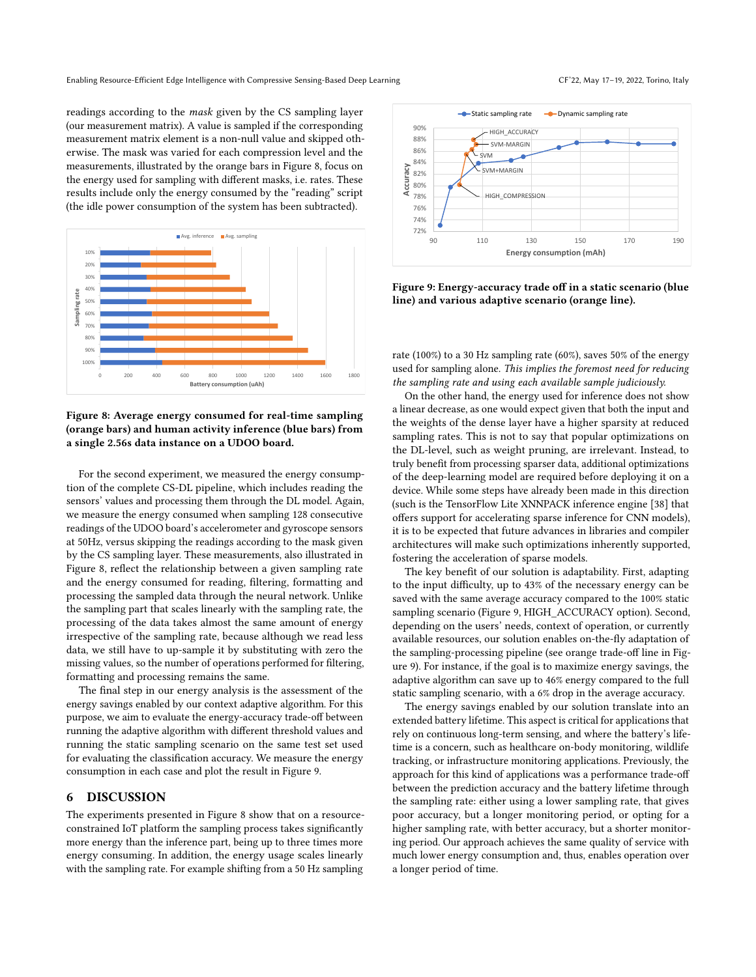readings according to the mask given by the CS sampling layer (our measurement matrix). A value is sampled if the corresponding measurement matrix element is a non-null value and skipped otherwise. The mask was varied for each compression level and the measurements, illustrated by the orange bars in Figure [8,](#page-6-0) focus on the energy used for sampling with different masks, i.e. rates. These results include only the energy consumed by the "reading" script (the idle power consumption of the system has been subtracted).

<span id="page-6-0"></span>

Figure 8: Average energy consumed for real-time sampling (orange bars) and human activity inference (blue bars) from a single 2.56s data instance on a UDOO board.

For the second experiment, we measured the energy consumption of the complete CS-DL pipeline, which includes reading the sensors' values and processing them through the DL model. Again, we measure the energy consumed when sampling 128 consecutive readings of the UDOO board's accelerometer and gyroscope sensors at 50Hz, versus skipping the readings according to the mask given by the CS sampling layer. These measurements, also illustrated in Figure [8,](#page-6-0) reflect the relationship between a given sampling rate and the energy consumed for reading, filtering, formatting and processing the sampled data through the neural network. Unlike the sampling part that scales linearly with the sampling rate, the processing of the data takes almost the same amount of energy irrespective of the sampling rate, because although we read less data, we still have to up-sample it by substituting with zero the missing values, so the number of operations performed for filtering, formatting and processing remains the same.

The final step in our energy analysis is the assessment of the energy savings enabled by our context adaptive algorithm. For this purpose, we aim to evaluate the energy-accuracy trade-off between running the adaptive algorithm with different threshold values and running the static sampling scenario on the same test set used for evaluating the classification accuracy. We measure the energy consumption in each case and plot the result in Figure [9.](#page-6-1)

#### 6 DISCUSSION

The experiments presented in Figure [8](#page-6-0) show that on a resourceconstrained IoT platform the sampling process takes significantly more energy than the inference part, being up to three times more energy consuming. In addition, the energy usage scales linearly with the sampling rate. For example shifting from a 50 Hz sampling

<span id="page-6-1"></span>

Figure 9: Energy-accuracy trade off in a static scenario (blue line) and various adaptive scenario (orange line).

rate (100%) to a 30 Hz sampling rate (60%), saves 50% of the energy used for sampling alone. This implies the foremost need for reducing the sampling rate and using each available sample judiciously.

On the other hand, the energy used for inference does not show a linear decrease, as one would expect given that both the input and the weights of the dense layer have a higher sparsity at reduced sampling rates. This is not to say that popular optimizations on the DL-level, such as weight pruning, are irrelevant. Instead, to truly benefit from processing sparser data, additional optimizations of the deep-learning model are required before deploying it on a device. While some steps have already been made in this direction (such is the TensorFlow Lite XNNPACK inference engine [\[38\]](#page-8-29) that offers support for accelerating sparse inference for CNN models), it is to be expected that future advances in libraries and compiler architectures will make such optimizations inherently supported, fostering the acceleration of sparse models.

The key benefit of our solution is adaptability. First, adapting to the input difficulty, up to 43% of the necessary energy can be saved with the same average accuracy compared to the 100% static sampling scenario (Figure [9,](#page-6-1) HIGH\_ACCURACY option). Second, depending on the users' needs, context of operation, or currently available resources, our solution enables on-the-fly adaptation of the sampling-processing pipeline (see orange trade-off line in Figure [9\)](#page-6-1). For instance, if the goal is to maximize energy savings, the adaptive algorithm can save up to 46% energy compared to the full static sampling scenario, with a 6% drop in the average accuracy.

The energy savings enabled by our solution translate into an extended battery lifetime. This aspect is critical for applications that rely on continuous long-term sensing, and where the battery's lifetime is a concern, such as healthcare on-body monitoring, wildlife tracking, or infrastructure monitoring applications. Previously, the approach for this kind of applications was a performance trade-off between the prediction accuracy and the battery lifetime through the sampling rate: either using a lower sampling rate, that gives poor accuracy, but a longer monitoring period, or opting for a higher sampling rate, with better accuracy, but a shorter monitoring period. Our approach achieves the same quality of service with much lower energy consumption and, thus, enables operation over a longer period of time.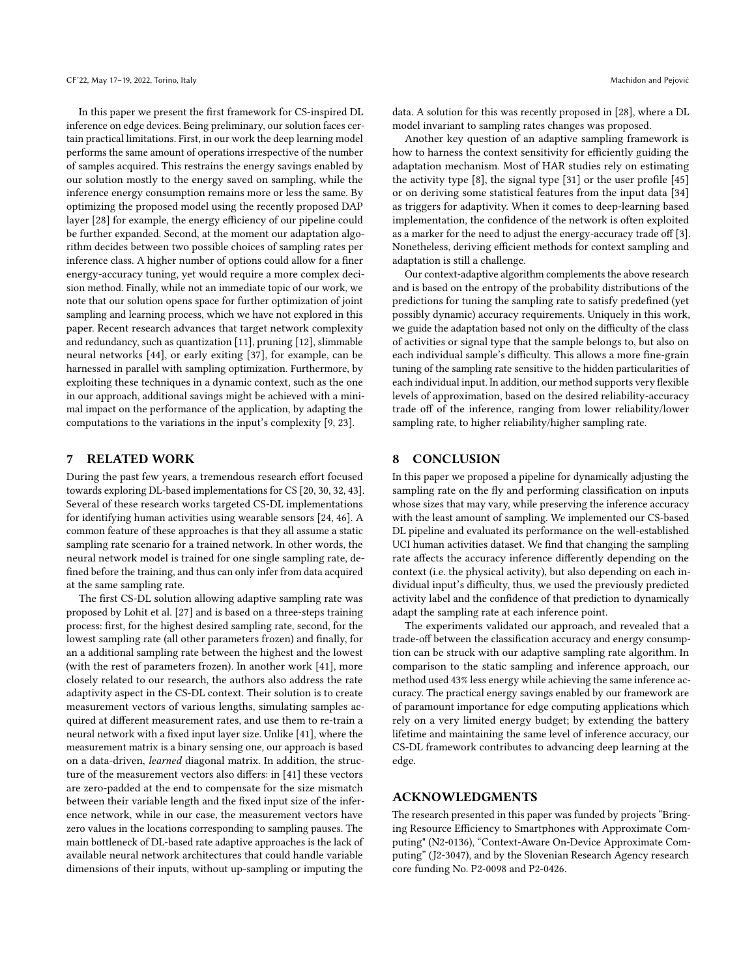In this paper we present the first framework for CS-inspired DL inference on edge devices. Being preliminary, our solution faces certain practical limitations. First, in our work the deep learning model performs the same amount of operations irrespective of the number of samples acquired. This restrains the energy savings enabled by our solution mostly to the energy saved on sampling, while the inference energy consumption remains more or less the same. By optimizing the proposed model using the recently proposed DAP layer [\[28\]](#page-8-30) for example, the energy efficiency of our pipeline could be further expanded. Second, at the moment our adaptation algorithm decides between two possible choices of sampling rates per inference class. A higher number of options could allow for a finer energy-accuracy tuning, yet would require a more complex decision method. Finally, while not an immediate topic of our work, we note that our solution opens space for further optimization of joint sampling and learning process, which we have not explored in this paper. Recent research advances that target network complexity and redundancy, such as quantization [\[11\]](#page-8-2), pruning [\[12\]](#page-8-3), slimmable neural networks [\[44\]](#page-8-31), or early exiting [\[37\]](#page-8-32), for example, can be harnessed in parallel with sampling optimization. Furthermore, by exploiting these techniques in a dynamic context, such as the one in our approach, additional savings might be achieved with a minimal impact on the performance of the application, by adapting the computations to the variations in the input's complexity [\[9,](#page-8-33) [23\]](#page-8-34).

#### 7 RELATED WORK

During the past few years, a tremendous research effort focused towards exploring DL-based implementations for CS [\[20,](#page-8-13) [30,](#page-8-35) [32,](#page-8-36) [43\]](#page-8-37). Several of these research works targeted CS-DL implementations for identifying human activities using wearable sensors [\[24,](#page-8-38) [46\]](#page-8-39). A common feature of these approaches is that they all assume a static sampling rate scenario for a trained network. In other words, the neural network model is trained for one single sampling rate, defined before the training, and thus can only infer from data acquired at the same sampling rate.

The first CS-DL solution allowing adaptive sampling rate was proposed by Lohit et al. [\[27\]](#page-8-40) and is based on a three-steps training process: first, for the highest desired sampling rate, second, for the lowest sampling rate (all other parameters frozen) and finally, for an a additional sampling rate between the highest and the lowest (with the rest of parameters frozen). In another work [\[41\]](#page-8-41), more closely related to our research, the authors also address the rate adaptivity aspect in the CS-DL context. Their solution is to create measurement vectors of various lengths, simulating samples acquired at different measurement rates, and use them to re-train a neural network with a fixed input layer size. Unlike [\[41\]](#page-8-41), where the measurement matrix is a binary sensing one, our approach is based on a data-driven, learned diagonal matrix. In addition, the structure of the measurement vectors also differs: in [\[41\]](#page-8-41) these vectors are zero-padded at the end to compensate for the size mismatch between their variable length and the fixed input size of the inference network, while in our case, the measurement vectors have zero values in the locations corresponding to sampling pauses. The main bottleneck of DL-based rate adaptive approaches is the lack of available neural network architectures that could handle variable dimensions of their inputs, without up-sampling or imputing the

data. A solution for this was recently proposed in [\[28\]](#page-8-30), where a DL model invariant to sampling rates changes was proposed.

Another key question of an adaptive sampling framework is how to harness the context sensitivity for efficiently guiding the adaptation mechanism. Most of HAR studies rely on estimating the activity type [\[8\]](#page-8-42), the signal type [\[31\]](#page-8-43) or the user profile [\[45\]](#page-8-44) or on deriving some statistical features from the input data [\[34\]](#page-8-45) as triggers for adaptivity. When it comes to deep-learning based implementation, the confidence of the network is often exploited as a marker for the need to adjust the energy-accuracy trade off [\[3\]](#page-8-46). Nonetheless, deriving efficient methods for context sampling and adaptation is still a challenge.

Our context-adaptive algorithm complements the above research and is based on the entropy of the probability distributions of the predictions for tuning the sampling rate to satisfy predefined (yet possibly dynamic) accuracy requirements. Uniquely in this work, we guide the adaptation based not only on the difficulty of the class of activities or signal type that the sample belongs to, but also on each individual sample's difficulty. This allows a more fine-grain tuning of the sampling rate sensitive to the hidden particularities of each individual input. In addition, our method supports very flexible levels of approximation, based on the desired reliability-accuracy trade off of the inference, ranging from lower reliability/lower sampling rate, to higher reliability/higher sampling rate.

### 8 CONCLUSION

In this paper we proposed a pipeline for dynamically adjusting the sampling rate on the fly and performing classification on inputs whose sizes that may vary, while preserving the inference accuracy with the least amount of sampling. We implemented our CS-based DL pipeline and evaluated its performance on the well-established UCI human activities dataset. We find that changing the sampling rate affects the accuracy inference differently depending on the context (i.e. the physical activity), but also depending on each individual input's difficulty, thus, we used the previously predicted activity label and the confidence of that prediction to dynamically adapt the sampling rate at each inference point.

The experiments validated our approach, and revealed that a trade-off between the classification accuracy and energy consumption can be struck with our adaptive sampling rate algorithm. In comparison to the static sampling and inference approach, our method used 43% less energy while achieving the same inference accuracy. The practical energy savings enabled by our framework are of paramount importance for edge computing applications which rely on a very limited energy budget; by extending the battery lifetime and maintaining the same level of inference accuracy, our CS-DL framework contributes to advancing deep learning at the edge.

#### ACKNOWLEDGMENTS

The research presented in this paper was funded by projects "Bringing Resource Efficiency to Smartphones with Approximate Computing" (N2-0136), "Context-Aware On-Device Approximate Computing" (J2-3047), and by the Slovenian Research Agency research core funding No. P2-0098 and P2-0426.